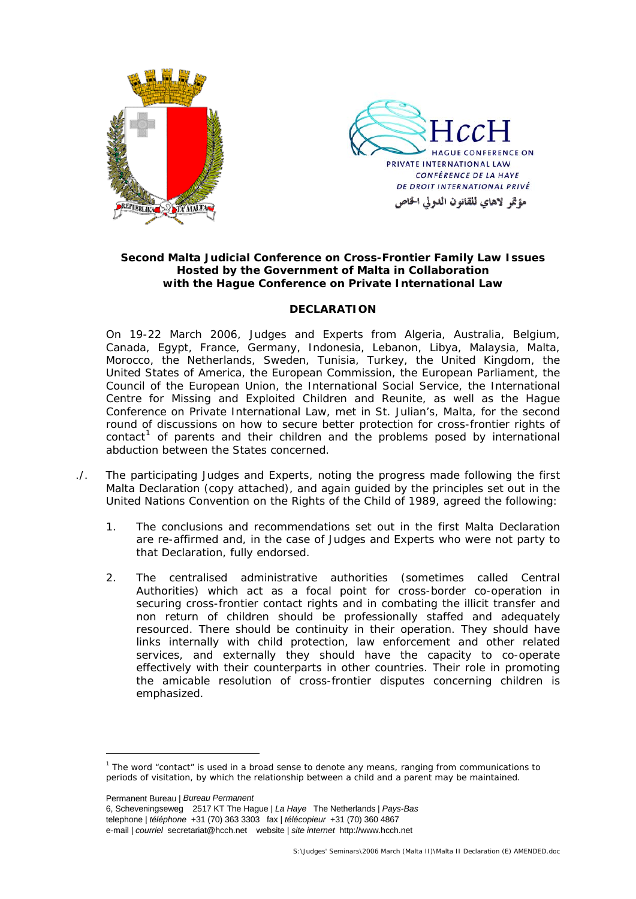



## **Second Malta Judicial Conference on Cross-Frontier Family Law Issues Hosted by the Government of Malta in Collaboration with the Hague Conference on Private International Law**

#### **DECLARATION**

On 19-22 March 2006, Judges and Experts from Algeria, Australia, Belgium, Canada, Egypt, France, Germany, Indonesia, Lebanon, Libya, Malaysia, Malta, Morocco, the Netherlands, Sweden, Tunisia, Turkey, the United Kingdom, the United States of America, the European Commission, the European Parliament, the Council of the European Union, the International Social Service, the International Centre for Missing and Exploited Children and Reunite, as well as the Hague Conference on Private International Law, met in St. Julian's, Malta, for the second round of discussions on how to secure better protection for cross-frontier rights of  $control<sup>1</sup>$  $control<sup>1</sup>$  $control<sup>1</sup>$  of parents and their children and the problems posed by international abduction between the States concerned.

- ./. The participating Judges and Experts, noting the progress made following the first Malta Declaration (copy attached), and again guided by the principles set out in the *United Nations Convention on the Rights of the Child* of 1989, agreed the following:
	- 1. The conclusions and recommendations set out in the first Malta Declaration are re-affirmed and, in the case of Judges and Experts who were not party to that Declaration, fully endorsed.
	- 2. The centralised administrative authorities (sometimes called Central Authorities) which act as a focal point for cross-border co-operation in securing cross-frontier contact rights and in combating the illicit transfer and non return of children should be professionally staffed and adequately resourced. There should be continuity in their operation. They should have links internally with child protection, law enforcement and other related services, and externally they should have the capacity to co-operate effectively with their counterparts in other countries. Their role in promoting the amicable resolution of cross-frontier disputes concerning children is emphasized.

Permanent Bureau | *Bureau Permanent* 

<span id="page-0-0"></span> $\overline{a}$ <sup>1</sup> The word "contact" is used in a broad sense to denote any means, ranging from communications to periods of visitation, by which the relationship between a child and a parent may be maintained.

<sup>6,</sup> Scheveningseweg 2517 KT The Hague | *La Haye* The Netherlands | *Pays-Bas* telephone | *téléphone* +31 (70) 363 3303 fax | *télécopieur* +31 (70) 360 4867 e-mail | *courriel* secretariat@hcch.net website | *site internet* http://www.hcch.net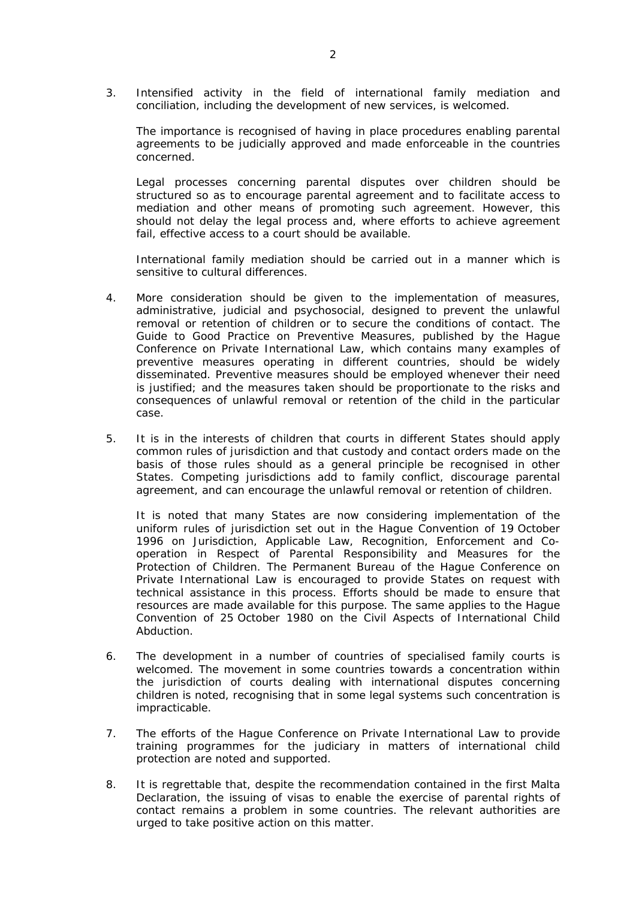3. Intensified activity in the field of international family mediation and conciliation, including the development of new services, is welcomed.

The importance is recognised of having in place procedures enabling parental agreements to be judicially approved and made enforceable in the countries concerned.

Legal processes concerning parental disputes over children should be structured so as to encourage parental agreement and to facilitate access to mediation and other means of promoting such agreement. However, this should not delay the legal process and, where efforts to achieve agreement fail, effective access to a court should be available.

International family mediation should be carried out in a manner which is sensitive to cultural differences.

- 4. More consideration should be given to the implementation of measures, administrative, judicial and psychosocial, designed to prevent the unlawful removal or retention of children or to secure the conditions of contact. The Guide to Good Practice on Preventive Measures, published by the Hague Conference on Private International Law, which contains many examples of preventive measures operating in different countries, should be widely disseminated. Preventive measures should be employed whenever their need is justified; and the measures taken should be proportionate to the risks and consequences of unlawful removal or retention of the child in the particular case.
- 5. It is in the interests of children that courts in different States should apply common rules of jurisdiction and that custody and contact orders made on the basis of those rules should as a general principle be recognised in other States. Competing jurisdictions add to family conflict, discourage parental agreement, and can encourage the unlawful removal or retention of children.

It is noted that many States are now considering implementation of the uniform rules of jurisdiction set out in the *Hague Convention of 19 October 1996 on Jurisdiction, Applicable Law, Recognition, Enforcement and Cooperation in Respect of Parental Responsibility and Measures for the Protection of Children*. The Permanent Bureau of the Hague Conference on Private International Law is encouraged to provide States on request with technical assistance in this process. Efforts should be made to ensure that resources are made available for this purpose. The same applies to the *Hague Convention of 25 October 1980 on the Civil Aspects of International Child Abduction*.

- 6. The development in a number of countries of specialised family courts is welcomed. The movement in some countries towards a concentration within the jurisdiction of courts dealing with international disputes concerning children is noted, recognising that in some legal systems such concentration is impracticable.
- 7. The efforts of the Hague Conference on Private International Law to provide training programmes for the judiciary in matters of international child protection are noted and supported.
- 8. It is regrettable that, despite the recommendation contained in the first Malta Declaration, the issuing of visas to enable the exercise of parental rights of contact remains a problem in some countries. The relevant authorities are urged to take positive action on this matter.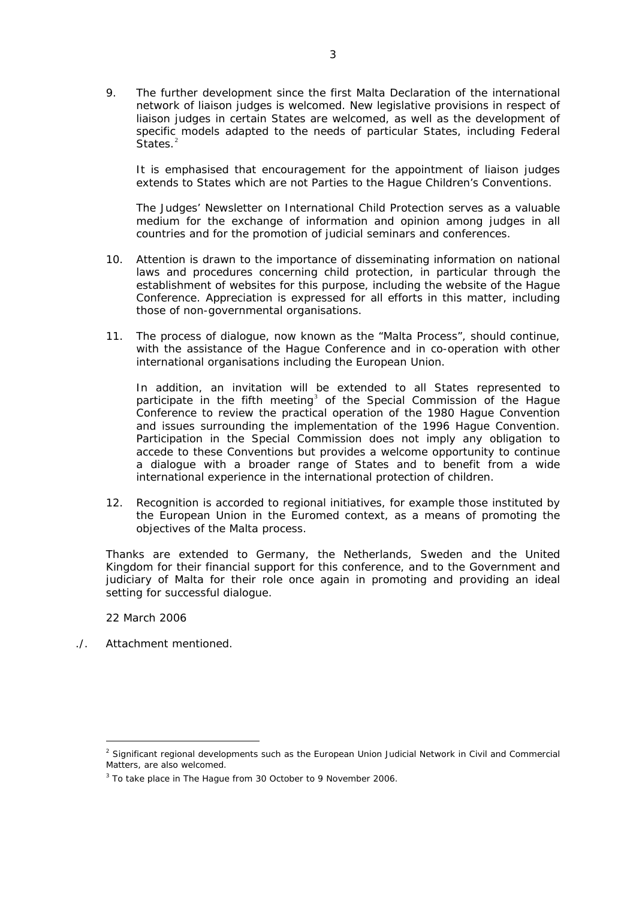9. The further development since the first Malta Declaration of the international network of liaison judges is welcomed. New legislative provisions in respect of liaison judges in certain States are welcomed, as well as the development of specific models adapted to the needs of particular States, including Federal States.<sup>[2](#page-2-0)</sup>

It is emphasised that encouragement for the appointment of liaison judges extends to States which are not Parties to the Hague Children's Conventions.

The Judges' Newsletter on International Child Protection serves as a valuable medium for the exchange of information and opinion among judges in all countries and for the promotion of judicial seminars and conferences.

- 10. Attention is drawn to the importance of disseminating information on national laws and procedures concerning child protection, in particular through the establishment of websites for this purpose, including the website of the Hague Conference. Appreciation is expressed for all efforts in this matter, including those of non-governmental organisations.
- 11. The process of dialogue, now known as the "Malta Process", should continue, with the assistance of the Hague Conference and in co-operation with other international organisations including the European Union.

In addition, an invitation will be extended to all States represented to participate in the fifth meeting<sup>[3](#page-2-1)</sup> of the Special Commission of the Hague Conference to review the practical operation of the 1980 Hague Convention and issues surrounding the implementation of the 1996 Hague Convention. Participation in the Special Commission does not imply any obligation to accede to these Conventions but provides a welcome opportunity to continue a dialogue with a broader range of States and to benefit from a wide international experience in the international protection of children.

12. Recognition is accorded to regional initiatives, for example those instituted by the European Union in the Euromed context, as a means of promoting the objectives of the Malta process.

Thanks are extended to Germany, the Netherlands, Sweden and the United Kingdom for their financial support for this conference, and to the Government and judiciary of Malta for their role once again in promoting and providing an ideal setting for successful dialogue.

22 March 2006

 $\overline{a}$ 

./. Attachment mentioned.

<span id="page-2-0"></span><sup>&</sup>lt;sup>2</sup> Significant regional developments such as the European Union Judicial Network in Civil and Commercial Matters, are also welcomed.

<span id="page-2-1"></span> $3$  To take place in The Hague from 30 October to 9 November 2006.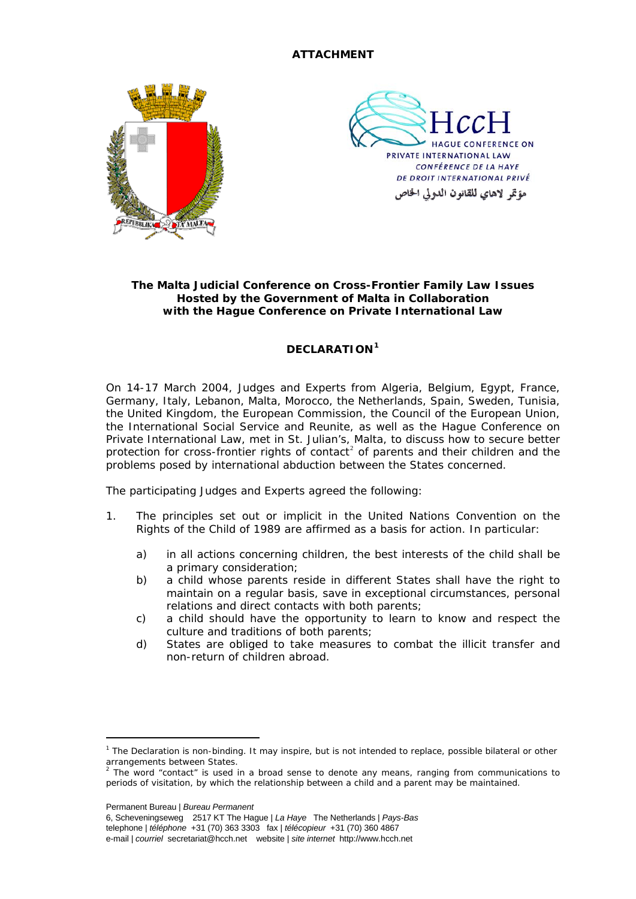## **ATTACHMENT**





## **The Malta Judicial Conference on Cross-Frontier Family Law Issues Hosted by the Government of Malta in Collaboration with the Hague Conference on Private International Law**

# **DECLARATION[1](#page-3-0)**

On 14-17 March 2004, Judges and Experts from Algeria, Belgium, Egypt, France, Germany, Italy, Lebanon, Malta, Morocco, the Netherlands, Spain, Sweden, Tunisia, the United Kingdom, the European Commission, the Council of the European Union, the International Social Service and Reunite, as well as the Hague Conference on Private International Law, met in St. Julian's, Malta, to discuss how to secure better protection for cross-frontier rights of contact<sup>[2](#page-3-1)</sup> of parents and their children and the problems posed by international abduction between the States concerned.

The participating Judges and Experts agreed the following:

- 1. The principles set out or implicit in the *United Nations Convention on the Rights of the Child* of 1989 are affirmed as a basis for action. In particular:
	- a) in all actions concerning children, the best interests of the child shall be a primary consideration;
	- b) a child whose parents reside in different States shall have the right to maintain on a regular basis, save in exceptional circumstances, personal relations and direct contacts with both parents;
	- c) a child should have the opportunity to learn to know and respect the culture and traditions of both parents;
	- d) States are obliged to take measures to combat the illicit transfer and non-return of children abroad.

Permanent Bureau | *Bureau Permanent* 

 $\overline{a}$ 

6, Scheveningseweg 2517 KT The Hague | *La Haye* The Netherlands | *Pays-Bas* telephone | *téléphone* +31 (70) 363 3303 fax | *télécopieur* +31 (70) 360 4867 e-mail | *courriel* secretariat@hcch.net website | *site internet* http://www.hcch.net

<span id="page-3-0"></span><sup>&</sup>lt;sup>1</sup> The Declaration is non-binding. It may inspire, but is not intended to replace, possible bilateral or other arrangements between States.<br><sup>2</sup> The ward "contest" is used it

<span id="page-3-1"></span>The word "contact" is used in a broad sense to denote any means, ranging from communications to periods of visitation, by which the relationship between a child and a parent may be maintained.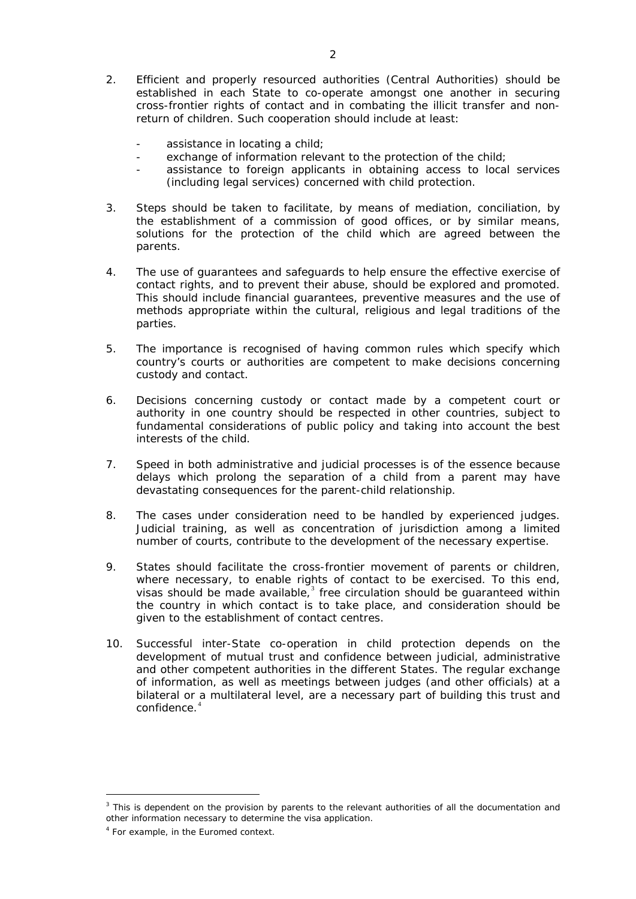- 2. Efficient and properly resourced authorities (Central Authorities) should be established in each State to co-operate amongst one another in securing cross-frontier rights of contact and in combating the illicit transfer and nonreturn of children. Such cooperation should include at least:
	- assistance in locating a child;
	- exchange of information relevant to the protection of the child;
	- assistance to foreign applicants in obtaining access to local services (including legal services) concerned with child protection.
- 3. Steps should be taken to facilitate, by means of mediation, conciliation, by the establishment of a commission of good offices, or by similar means, solutions for the protection of the child which are agreed between the parents.
- 4. The use of guarantees and safeguards to help ensure the effective exercise of contact rights, and to prevent their abuse, should be explored and promoted. This should include financial guarantees, preventive measures and the use of methods appropriate within the cultural, religious and legal traditions of the parties.
- 5. The importance is recognised of having common rules which specify which country's courts or authorities are competent to make decisions concerning custody and contact.
- 6. Decisions concerning custody or contact made by a competent court or authority in one country should be respected in other countries, subject to fundamental considerations of public policy and taking into account the best interests of the child.
- 7. Speed in both administrative and judicial processes is of the essence because delays which prolong the separation of a child from a parent may have devastating consequences for the parent-child relationship.
- 8. The cases under consideration need to be handled by experienced judges. Judicial training, as well as concentration of jurisdiction among a limited number of courts, contribute to the development of the necessary expertise.
- 9. States should facilitate the cross-frontier movement of parents or children, where necessary, to enable rights of contact to be exercised. To this end, visas should be made available, $3$  free circulation should be guaranteed within the country in which contact is to take place, and consideration should be given to the establishment of contact centres.
- 10. Successful inter-State co-operation in child protection depends on the development of mutual trust and confidence between judicial, administrative and other competent authorities in the different States. The regular exchange of information, as well as meetings between judges (and other officials) at a bilateral or a multilateral level, are a necessary part of building this trust and confidence.<sup>[4](#page-4-1)</sup>

 $\overline{a}$ 

<span id="page-4-0"></span><sup>&</sup>lt;sup>3</sup> This is dependent on the provision by parents to the relevant authorities of all the documentation and other information necessary to determine the visa application.

<span id="page-4-1"></span><sup>&</sup>lt;sup>4</sup> For example, in the Euromed context.